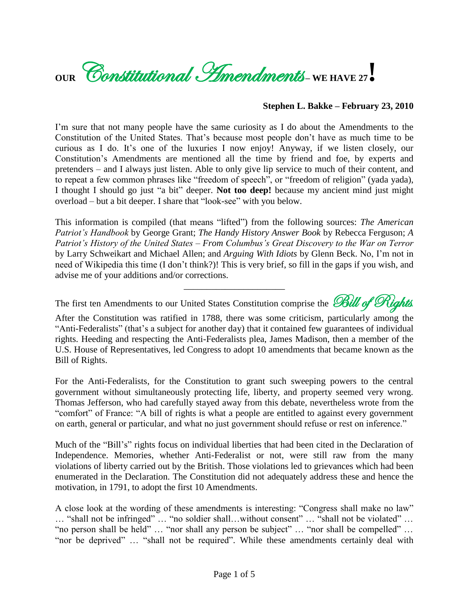

## **Stephen L. Bakke – February 23, 2010**

I'm sure that not many people have the same curiosity as I do about the Amendments to the Constitution of the United States. That"s because most people don"t have as much time to be curious as I do. It"s one of the luxuries I now enjoy! Anyway, if we listen closely, our Constitution"s Amendments are mentioned all the time by friend and foe, by experts and pretenders – and I always just listen. Able to only give lip service to much of their content, and to repeat a few common phrases like "freedom of speech", or "freedom of religion" (yada yada), I thought I should go just "a bit" deeper. **Not too deep!** because my ancient mind just might overload – but a bit deeper. I share that "look-see" with you below.

This information is compiled (that means "lifted") from the following sources: *The American Patriot's Handbook* by George Grant; *The Handy History Answer Book* by Rebecca Ferguson; *A Patriot's History of the United States – From Columbus's Great Discovery to the War on Terror*  by Larry Schweikart and Michael Allen; and *Arguing With Idiots* by Glenn Beck. No, I"m not in need of Wikipedia this time (I don"t think?)! This is very brief, so fill in the gaps if you wish, and advise me of your additions and/or corrections.

The first ten Amendments to our United States Constitution comprise the *Bill of Rights*.

\_\_\_\_\_\_\_\_\_\_\_\_\_\_\_\_\_\_\_\_\_\_

After the Constitution was ratified in 1788, there was some criticism, particularly among the "Anti-Federalists" (that's a subject for another day) that it contained few guarantees of individual rights. Heeding and respecting the Anti-Federalists plea, James Madison, then a member of the U.S. House of Representatives, led Congress to adopt 10 amendments that became known as the Bill of Rights.

For the Anti-Federalists, for the Constitution to grant such sweeping powers to the central government without simultaneously protecting life, liberty, and property seemed very wrong. Thomas Jefferson, who had carefully stayed away from this debate, nevertheless wrote from the "comfort" of France: "A bill of rights is what a people are entitled to against every government on earth, general or particular, and what no just government should refuse or rest on inference."

Much of the "Bill"s" rights focus on individual liberties that had been cited in the Declaration of Independence. Memories, whether Anti-Federalist or not, were still raw from the many violations of liberty carried out by the British. Those violations led to grievances which had been enumerated in the Declaration. The Constitution did not adequately address these and hence the motivation, in 1791, to adopt the first 10 Amendments.

A close look at the wording of these amendments is interesting: "Congress shall make no law" … "shall not be infringed" … "no soldier shall…without consent" … "shall not be violated" … "no person shall be held" … "nor shall any person be subject" … "nor shall be compelled" … "nor be deprived" … "shall not be required". While these amendments certainly deal with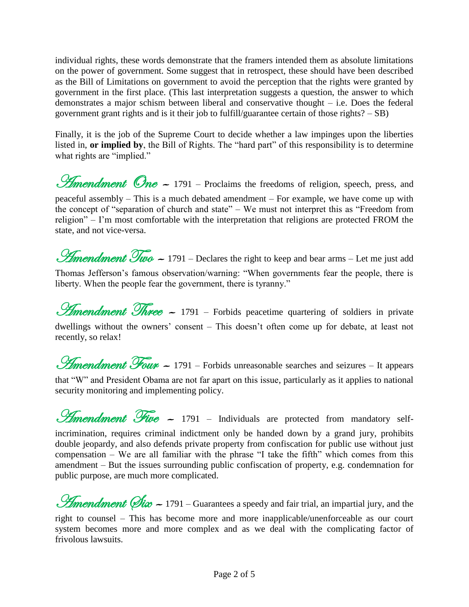individual rights, these words demonstrate that the framers intended them as absolute limitations on the power of government. Some suggest that in retrospect, these should have been described as the Bill of Limitations on government to avoid the perception that the rights were granted by government in the first place. (This last interpretation suggests a question, the answer to which demonstrates a major schism between liberal and conservative thought – i.e. Does the federal government grant rights and is it their job to fulfill/guarantee certain of those rights? – SB)

Finally, it is the job of the Supreme Court to decide whether a law impinges upon the liberties listed in, **or implied by**, the Bill of Rights. The "hard part" of this responsibility is to determine what rights are "implied."

**Amendment** One  $\sim$  1791 – Proclaims the freedoms of religion, speech, press, and peaceful assembly – This is a much debated amendment – For example, we have come up with the concept of "separation of church and state" – We must not interpret this as "Freedom from religion" – I"m most comfortable with the interpretation that religions are protected FROM the state, and not vice-versa.

**Amendment Two**  $\sim$  1791 – Declares the right to keep and bear arms – Let me just add Thomas Jefferson"s famous observation/warning: "When governments fear the people, there is liberty. When the people fear the government, there is tyranny."

*Amendment Three* ~ 1791 – Forbids peacetime quartering of soldiers in private dwellings without the owners' consent – This doesn't often come up for debate, at least not recently, so relax!

*Hmendment Four -* 1791 – Forbids unreasonable searches and seizures – It appears that "W" and President Obama are not far apart on this issue, particularly as it applies to national security monitoring and implementing policy.

*Amendment Five* ~ 1791 – Individuals are protected from mandatory selfincrimination, requires criminal indictment only be handed down by a grand jury, prohibits double jeopardy, and also defends private property from confiscation for public use without just compensation – We are all familiar with the phrase "I take the fifth" which comes from this amendment – But the issues surrounding public confiscation of property, e.g. condemnation for public purpose, are much more complicated.

**Amendment (Six –** 1791 – Guarantees a speedy and fair trial, an impartial jury, and the right to counsel – This has become more and more inapplicable/unenforceable as our court system becomes more and more complex and as we deal with the complicating factor of frivolous lawsuits.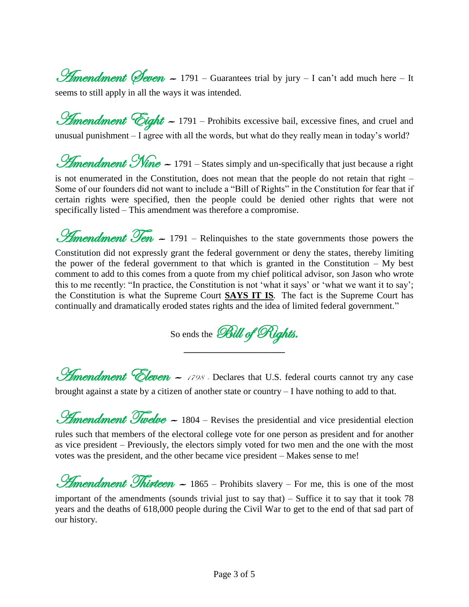*Hmendment (Seven ~* 1791 – Guarantees trial by jury – I can't add much here – It seems to still apply in all the ways it was intended.

*Amendment Cight -* 1791 – Prohibits excessive bail, excessive fines, and cruel and unusual punishment  $-$  I agree with all the words, but what do they really mean in today's world?

**Amendment Nine - 1791** – States simply and un-specifically that just because a right

is not enumerated in the Constitution, does not mean that the people do not retain that right – Some of our founders did not want to include a "Bill of Rights" in the Constitution for fear that if certain rights were specified, then the people could be denied other rights that were not specifically listed – This amendment was therefore a compromise.

**Amendment Ten -** 1791 – Relinquishes to the state governments those powers the Constitution did not expressly grant the federal government or deny the states, thereby limiting the power of the federal government to that which is granted in the Constitution  $-$  My best comment to add to this comes from a quote from my chief political advisor, son Jason who wrote this to me recently: "In practice, the Constitution is not 'what it says' or 'what we want it to say'; the Constitution is what the Supreme Court **SAYS IT IS***.* The fact is the Supreme Court has continually and dramatically eroded states rights and the idea of limited federal government."

So ends the Bill of Rights. **\_\_\_\_\_\_\_\_\_\_\_\_\_\_\_\_\_\_\_\_\_\_**

**Amendment Eleven -** 1798 - Declares that U.S. federal courts cannot try any case brought against a state by a citizen of another state or country – I have nothing to add to that.

 $\mathscr{L}$ mendment  $\mathscr{T}$ welve  $\sim$  1804 – Revises the presidential and vice presidential election rules such that members of the electoral college vote for one person as president and for another

as vice president – Previously, the electors simply voted for two men and the one with the most votes was the president, and the other became vice president – Makes sense to me!

*Amendment Thirteen -* 1865 – Prohibits slavery – For me, this is one of the most important of the amendments (sounds trivial just to say that) – Suffice it to say that it took 78 years and the deaths of 618,000 people during the Civil War to get to the end of that sad part of our history.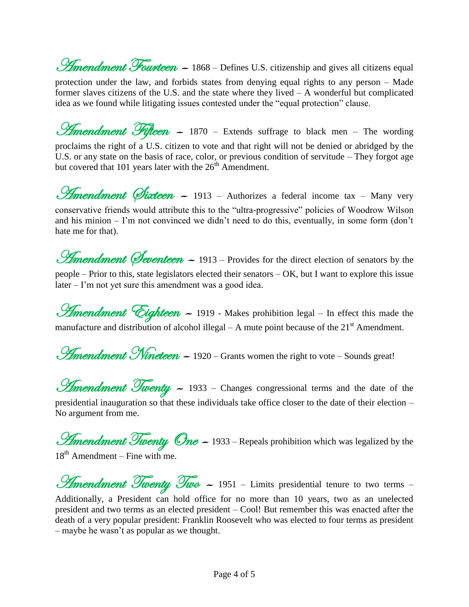**Amendment Fourteen ~** 1868 – Defines U.S. citizenship and gives all citizens equal protection under the law, and forbids states from denying equal rights to any person – Made former slaves citizens of the U.S. and the state where they lived – A wonderful but complicated idea as we found while litigating issues contested under the "equal protection" clause.

*Amendment Fifteen ~* 1870 – Extends suffrage to black men – The wording proclaims the right of a U.S. citizen to vote and that right will not be denied or abridged by the U.S. or any state on the basis of race, color, or previous condition of servitude – They forgot age but covered that 101 years later with the  $26<sup>th</sup>$  Amendment.

*Hmendment Øixteen* ~ 1913 – Authorizes a federal income tax – Many very conservative friends would attribute this to the "ultra-progressive" policies of Woodrow Wilson and his minion – I'm not convinced we didn't need to do this, eventually, in some form (don't hate me for that).

*Amendment (Seventeen ~* 1913 – Provides for the direct election of senators by the people – Prior to this, state legislators elected their senators – OK, but I want to explore this issue later – I'm not yet sure this amendment was a good idea.

*Amendment Cighteen ~* 1919 - Makes prohibition legal – In effect this made the manufacture and distribution of alcohol illegal – A mute point because of the  $21<sup>st</sup>$  Amendment.

**Amendment Nineteen - 1920** – Grants women the right to vote – Sounds great!

**Amendment Twenty -** 1933 - Changes congressional terms and the date of the presidential inauguration so that these individuals take office closer to the date of their election – No argument from me.

**Amendment Twenty One - 1933** – Repeals prohibition which was legalized by the 18<sup>th</sup> Amendment – Fine with me.

*Amendment Twenty Two ~* 1951 – Limits presidential tenure to two terms – Additionally, a President can hold office for no more than 10 years, two as an unelected president and two terms as an elected president – Cool! But remember this was enacted after the death of a very popular president: Franklin Roosevelt who was elected to four terms as president – maybe he wasn"t as popular as we thought.